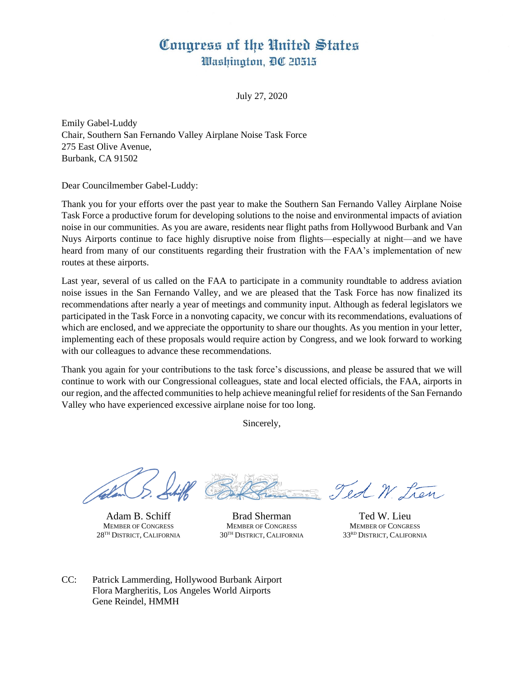## Congress of the United States Washington, DC 20515

July 27, 2020

Emily Gabel-Luddy Chair, Southern San Fernando Valley Airplane Noise Task Force 275 East Olive Avenue, Burbank, CA 91502

Dear Councilmember Gabel-Luddy:

Thank you for your efforts over the past year to make the Southern San Fernando Valley Airplane Noise Task Force a productive forum for developing solutions to the noise and environmental impacts of aviation noise in our communities. As you are aware, residents near flight paths from Hollywood Burbank and Van Nuys Airports continue to face highly disruptive noise from flights—especially at night—and we have heard from many of our constituents regarding their frustration with the FAA's implementation of new routes at these airports.

Last year, several of us called on the FAA to participate in a community roundtable to address aviation noise issues in the San Fernando Valley, and we are pleased that the Task Force has now finalized its recommendations after nearly a year of meetings and community input. Although as federal legislators we participated in the Task Force in a nonvoting capacity, we concur with its recommendations, evaluations of which are enclosed, and we appreciate the opportunity to share our thoughts. As you mention in your letter, implementing each of these proposals would require action by Congress, and we look forward to working with our colleagues to advance these recommendations.

Thank you again for your contributions to the task force's discussions, and please be assured that we will continue to work with our Congressional colleagues, state and local elected officials, the FAA, airports in our region, and the affected communities to help achieve meaningful relief for residents of the San Fernando Valley who have experienced excessive airplane noise for too long.

Sincerely,

Adam B. Schiff MEMBER OF CONGRESS 28TH DISTRICT, CALIFORNIA

Brad Sherman MEMBER OF CONGRESS 30TH DISTRICT, CALIFORNIA

Ted W. Lien

Ted W. Lieu MEMBER OF CONGRESS 33RD DISTRICT, CALIFORNIA

CC: Patrick Lammerding, Hollywood Burbank Airport Flora Margheritis, Los Angeles World Airports Gene Reindel, HMMH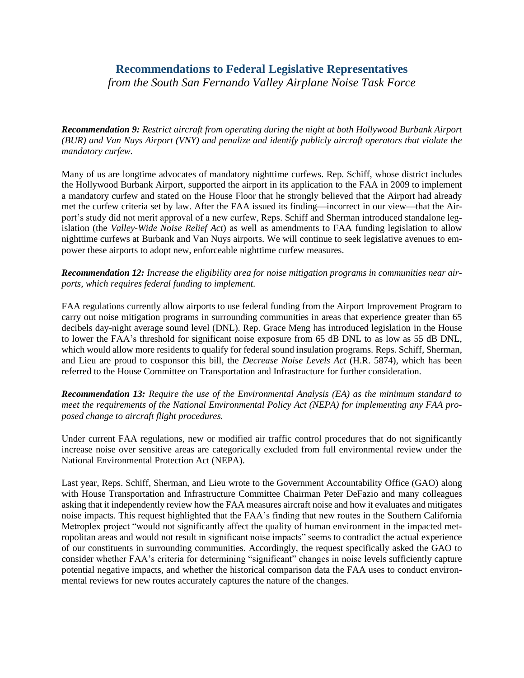## **Recommendations to Federal Legislative Representatives**

*from the South San Fernando Valley Airplane Noise Task Force* 

*Recommendation 9: Restrict aircraft from operating during the night at both Hollywood Burbank Airport (BUR) and Van Nuys Airport (VNY) and penalize and identify publicly aircraft operators that violate the mandatory curfew.*

Many of us are longtime advocates of mandatory nighttime curfews. Rep. Schiff, whose district includes the Hollywood Burbank Airport, supported the airport in its application to the FAA in 2009 to implement a mandatory curfew and stated on the House Floor that he strongly believed that the Airport had already met the curfew criteria set by law. After the FAA issued its finding—incorrect in our view—that the Airport's study did not merit approval of a new curfew, Reps. Schiff and Sherman introduced standalone legislation (the *Valley-Wide Noise Relief Act*) as well as amendments to FAA funding legislation to allow nighttime curfews at Burbank and Van Nuys airports. We will continue to seek legislative avenues to empower these airports to adopt new, enforceable nighttime curfew measures.

*Recommendation 12: Increase the eligibility area for noise mitigation programs in communities near airports, which requires federal funding to implement.*

FAA regulations currently allow airports to use federal funding from the Airport Improvement Program to carry out noise mitigation programs in surrounding communities in areas that experience greater than 65 decibels day-night average sound level (DNL). Rep. Grace Meng has introduced legislation in the House to lower the FAA's threshold for significant noise exposure from 65 dB DNL to as low as 55 dB DNL, which would allow more residents to qualify for federal sound insulation programs. Reps. Schiff, Sherman, and Lieu are proud to cosponsor this bill, the *Decrease Noise Levels Act* (H.R. 5874), which has been referred to the House Committee on Transportation and Infrastructure for further consideration.

*Recommendation 13: Require the use of the Environmental Analysis (EA) as the minimum standard to meet the requirements of the National Environmental Policy Act (NEPA) for implementing any FAA proposed change to aircraft flight procedures.*

Under current FAA regulations, new or modified air traffic control procedures that do not significantly increase noise over sensitive areas are categorically excluded from full environmental review under the National Environmental Protection Act (NEPA).

Last year, Reps. Schiff, Sherman, and Lieu wrote to the Government Accountability Office (GAO) along with House Transportation and Infrastructure Committee Chairman Peter DeFazio and many colleagues asking that it independently review how the FAA measures aircraft noise and how it evaluates and mitigates noise impacts. This request highlighted that the FAA's finding that new routes in the Southern California Metroplex project "would not significantly affect the quality of human environment in the impacted metropolitan areas and would not result in significant noise impacts" seems to contradict the actual experience of our constituents in surrounding communities. Accordingly, the request specifically asked the GAO to consider whether FAA's criteria for determining "significant" changes in noise levels sufficiently capture potential negative impacts, and whether the historical comparison data the FAA uses to conduct environmental reviews for new routes accurately captures the nature of the changes.